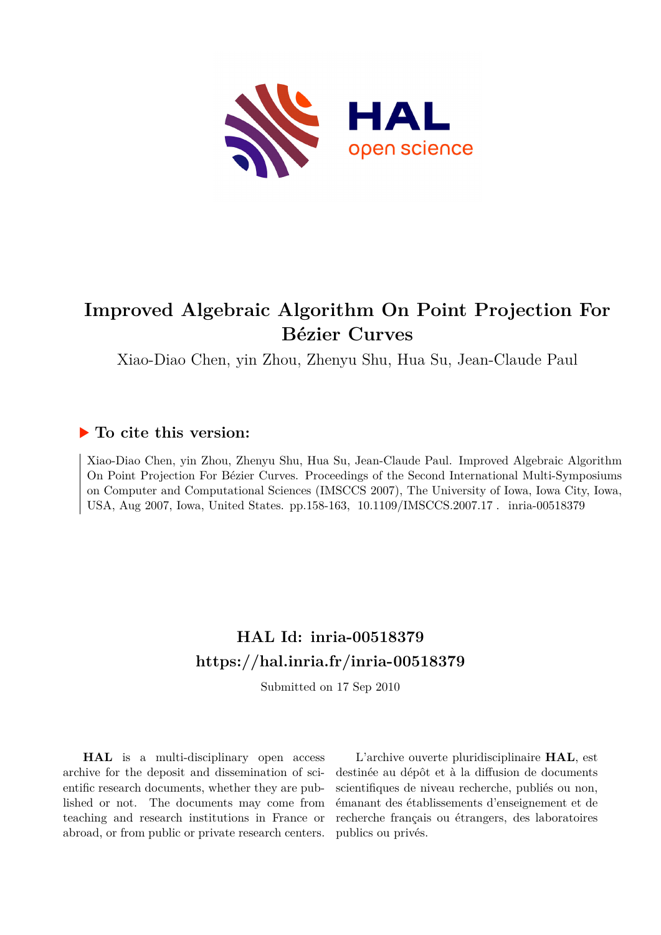

# **Improved Algebraic Algorithm On Point Projection For Bézier Curves**

Xiao-Diao Chen, yin Zhou, Zhenyu Shu, Hua Su, Jean-Claude Paul

# **To cite this version:**

Xiao-Diao Chen, yin Zhou, Zhenyu Shu, Hua Su, Jean-Claude Paul. Improved Algebraic Algorithm On Point Projection For Bézier Curves. Proceedings of the Second International Multi-Symposiums on Computer and Computational Sciences (IMSCCS 2007), The University of Iowa, Iowa City, Iowa, USA, Aug 2007, Iowa, United States. pp.158-163, 10.1109/IMSCCS.2007.17. inria-00518379

# **HAL Id: inria-00518379 <https://hal.inria.fr/inria-00518379>**

Submitted on 17 Sep 2010

**HAL** is a multi-disciplinary open access archive for the deposit and dissemination of scientific research documents, whether they are published or not. The documents may come from teaching and research institutions in France or abroad, or from public or private research centers.

L'archive ouverte pluridisciplinaire **HAL**, est destinée au dépôt et à la diffusion de documents scientifiques de niveau recherche, publiés ou non, émanant des établissements d'enseignement et de recherche français ou étrangers, des laboratoires publics ou privés.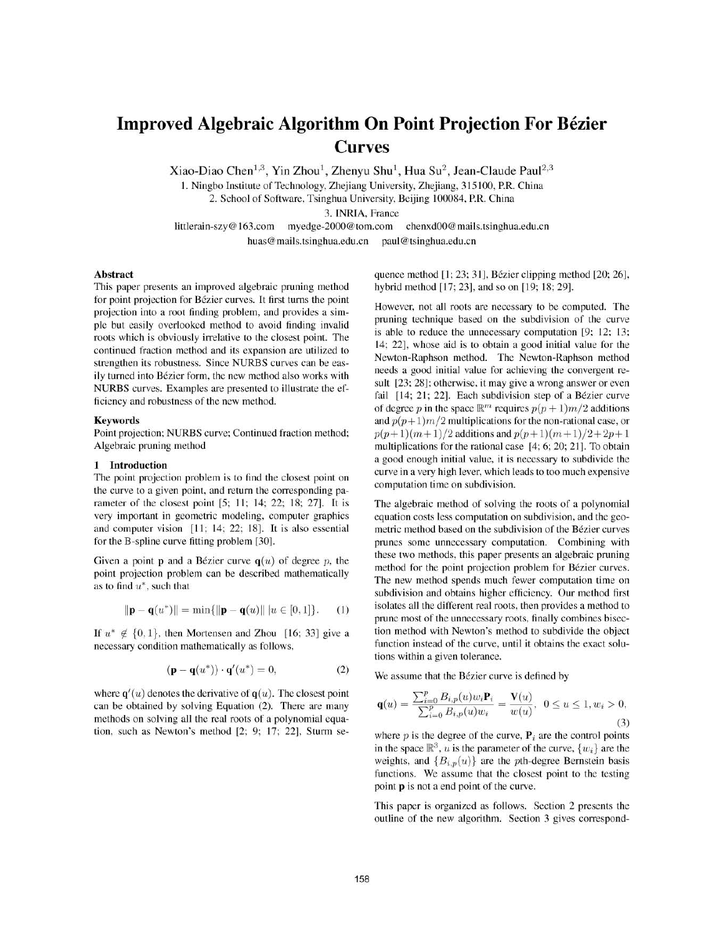# **Improved Algebraic Algorithm On Point Projection For Bézier Curves**

Xiao-Diao Chen<sup>1,3</sup>, Yin Zhou<sup>1</sup>, Zhenyu Shu<sup>1</sup>, Hua Su<sup>2</sup>, Jean-Claude Paul<sup>2,3</sup>

1. Ningbo Institute of Technology, Zhejiang University, Zhejiang, 315100, P.R. China

2. School of Software, Tsinghua University, Beijing 100084, P.R. China

3. INRIA, France

littlerain-szy@163.com myedge-2000@tom.com chenxd00@mails.tsinghua.edu.cn huas@mails.tsinghua.edu.cn paul@tsinghua.edu.cn

#### **Abstract**

This paper presents an improved algebraic pruning method for point projection for Bézier curves. It first turns the point projection into a root finding problem, and provides a simple but easily overlooked method to avoid finding invalid roots which is obviously irrelative to the closest point. The continued fraction method and its expansion are utilized to strengthen its robustness. Since NURBS curves can be easily turned into Bézier form, the new method also works with NURBS curves. Examples are presented to illustrate the efficiency and robustness of the new method.

#### **Keywords**

Point projection; NURBS curve; Continued fraction method; Algebraic pruning method

### 1 Introduction

The point projection problem is to find the closest point on the curve to a given point, and return the corresponding parameter of the closest point [5; 11; 14; 22; 18; 27]. It is very important in geometric modeling, computer graphics and computer vision [11; 14; 22; 18]. It is also essential for the B-spline curve fitting problem [30].

Given a point **p** and a Bézier curve  $q(u)$  of degree p, the point projection problem can be described mathematically as to find  $u^*$ , such that

$$
\|\mathbf{p} - \mathbf{q}(u^*)\| = \min\{\|\mathbf{p} - \mathbf{q}(u)\| \ | u \in [0, 1]\}.
$$
 (1)

If  $u^* \notin \{0, 1\}$ , then Mortensen and Zhou [16; 33] give a necessary condition mathematically as follows,

$$
(\mathbf{p} - \mathbf{q}(u^*)) \cdot \mathbf{q}'(u^*) = 0,\tag{2}
$$

where  $q'(u)$  denotes the derivative of  $q(u)$ . The closest point can be obtained by solving Equation (2). There are many methods on solving all the real roots of a polynomial equation, such as Newton's method [2; 9; 17; 22], Sturm se-

quence method [1; 23; 31], Bézier clipping method [20; 26], hybrid method [17; 23], and so on [19; 18; 29].

However, not all roots are necessary to be computed. The pruning technique based on the subdivision of the curve is able to reduce the unnecessary computation [9; 12; 13; 14; 22], whose aid is to obtain a good initial value for the Newton-Raphson method. The Newton-Raphson method needs a good initial value for achieving the convergent result [23; 28]; otherwise, it may give a wrong answer or even fail [14; 21; 22]. Each subdivision step of a Bézier curve of degree p in the space  $\mathbb{R}^m$  requires  $p(p+1)m/2$  additions and  $p(p+1)m/2$  multiplications for the non-rational case, or  $p(p+1)(m+1)/2$  additions and  $p(p+1)(m+1)/2+2p+1$ multiplications for the rational case [4; 6; 20; 21]. To obtain a good enough initial value, it is necessary to subdivide the curve in a very high lever, which leads to too much expensive computation time on subdivision.

The algebraic method of solving the roots of a polynomial equation costs less computation on subdivision, and the geometric method based on the subdivision of the Bézier curves prunes some unnecessary computation. Combining with these two methods, this paper presents an algebraic pruning method for the point projection problem for Bézier curves. The new method spends much fewer computation time on subdivision and obtains higher efficiency. Our method first isolates all the different real roots, then provides a method to prune most of the unnecessary roots, finally combines bisection method with Newton's method to subdivide the object function instead of the curve, until it obtains the exact solutions within a given tolerance.

We assume that the Bézier curve is defined by

$$
\mathbf{q}(u) = \frac{\sum_{i=0}^{p} B_{i,p}(u) w_i \mathbf{P}_i}{\sum_{i=0}^{p} B_{i,p}(u) w_i} = \frac{\mathbf{V}(u)}{w(u)}, \ \ 0 \le u \le 1, w_i > 0,
$$
\n(3)

where  $p$  is the degree of the curve,  $P_i$  are the control points in the space  $\mathbb{R}^3$ , u is the parameter of the curve,  $\{w_i\}$  are the weights, and  ${B_{i,n}(u)}$  are the pth-degree Bernstein basis functions. We assume that the closest point to the testing point **p** is not a end point of the curve.

This paper is organized as follows. Section 2 presents the outline of the new algorithm. Section 3 gives correspond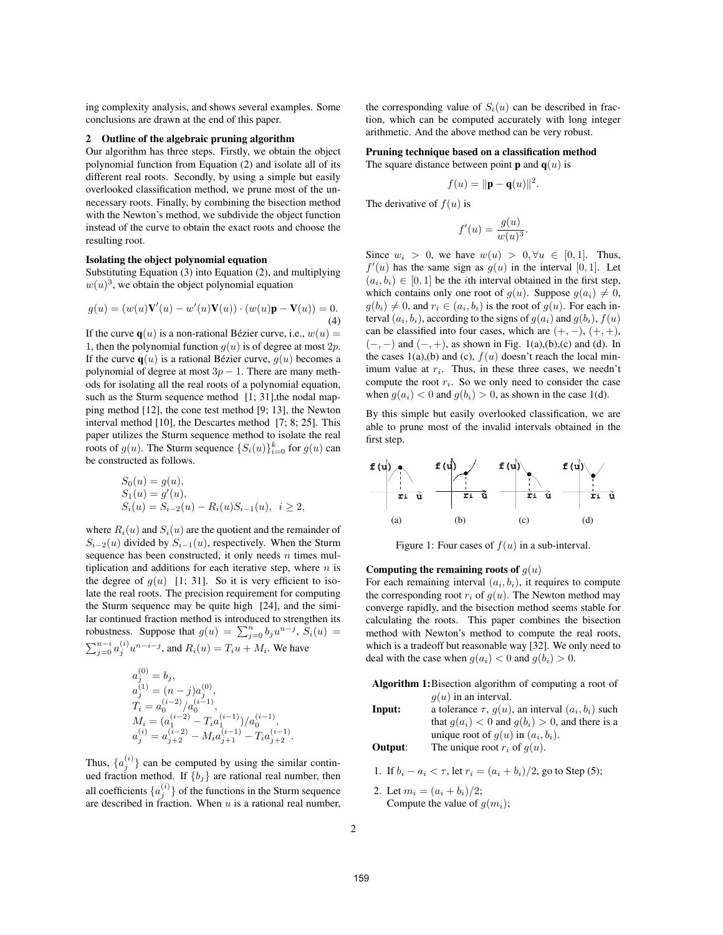ing complexity analysis, and shows several examples. Some conclusions are drawn at the end of this paper.

#### **2 Outline of the algebraic pruning algorithm**

Our algorithm has three steps. Firstly, we obtain the object polynomial function from Equation (2) and isolate all of its different real roots. Secondly, by using a simple but easily overlooked classification method, we prune most of the unnecessary roots. Finally, by combining the bisection method with the Newton's method, we subdivide the object function instead of the curve to obtain the exact roots and choose the resulting root.

#### **Isolating the object polynomial equation**

Substituting Equation (3) into Equation (2), and multiplying  $w(u)^3$ , we obtain the object polynomial equation

$$
g(u) = (w(u)\mathbf{V}'(u) - w'(u)\mathbf{V}(u)) \cdot (w(u)\mathbf{p} - \mathbf{V}(u)) = 0.
$$
  
(4)

If the curve  $\mathbf{q}(u)$  is a non-rational Bézier curve, i.e.,  $w(u) =$ 1, then the polynomial function  $q(u)$  is of degree at most  $2p$ . If the curve  $q(u)$  is a rational Bézier curve,  $q(u)$  becomes a polynomial of degree at most  $3p - 1$ . There are many methods for isolating all the real roots of a polynomial equation, such as the Sturm sequence method [1; 31], the nodal mapping method [12], the cone test method [9; 13], the Newton interval method [10], the Descartes method [7; 8; 25]. This paper utilizes the Sturm sequence method to isolate the real roots of  $g(u)$ . The Sturm sequence  $\{S_i(u)\}_{i=0}^k$  for  $g(u)$  can<br>be constructed as follows be constructed as follows.

$$
S_0(u) = g(u),
$$
  
\n
$$
S_1(u) = g'(u),
$$
  
\n
$$
S_i(u) = S_{i-2}(u) - R_i(u)S_{i-1}(u), \quad i \ge 2,
$$

where  $R_i(u)$  and  $S_i(u)$  are the quotient and the remainder of  $S_{i-2}(u)$  divided by  $S_{i-1}(u)$ , respectively. When the Sturm sequence has been constructed, it only needs  $n$  times multiplication and additions for each iterative step, where  $n$  is the degree of  $g(u)$  [1; 31]. So it is very efficient to isolate the real roots. The precision requirement for computing the Sturm sequence may be quite high [24], and the similar continued fraction method is introduced to strengthen its robustness. Suppose that  $g(u) = \sum_{j=0}^{n} b_j u^{n-j}$ ,  $S_i(u) = \sum_{j=1}^{n} (i)$ ,  $n \neq j$ ,  $j \neq j$ ,  $m \neq j$  $\sum_{j=0}^{n-i} a_j^{(i)} u^{n-i-j}$ , and  $R_i(u) = T_i u + M_i$ . We have

$$
a_j^{(0)} = b_j,
$$
  
\n
$$
a_j^{(1)} = (n-j)a_j^{(0)},
$$
  
\n
$$
T_i = a_0^{(i-2)}/a_0^{(i-1)},
$$
  
\n
$$
M_i = (a_1^{(i-2)} - T_i a_1^{(i-1)})/a_0^{(i-1)},
$$
  
\n
$$
a_j^{(i)} = a_{j+2}^{(i-2)} - M_i a_{j+1}^{(i-1)} - T_i a_{j+2}^{(i-1)}.
$$

Thus,  $\{a_j^{(i)}\}$  can be computed by using the similar continued fraction method. If  $f_{h,1}$  are rational real number, then ued fraction method. If  $\{b_j\}$  are rational real number, then all coefficients  $\{a_j^{(i)}\}$  of the functions in the Sturm sequence<br>are described in fraction. When u is a rational real number are described in fraction. When  $u$  is a rational real number, the corresponding value of  $S_i(u)$  can be described in fraction, which can be computed accurately with long integer arithmetic. And the above method can be very robust.

## **Pruning technique based on a classification method**

The square distance between point **p** and  $q(u)$  is

$$
f(u) = \|\mathbf{p} - \mathbf{q}(u)\|^2.
$$

The derivative of  $f(u)$  is

$$
f'(u) = \frac{g(u)}{w(u)^3}.
$$

Since  $w_i > 0$ , we have  $w(u) > 0, \forall u \in [0, 1]$ . Thus,  $f'(u)$  has the same sign as  $g(u)$  in the interval [0, 1]. Let  $(a_i, b_i) \in [0, 1]$  be the *i*th interval obtained in the first step, which contains only one root of  $g(u)$ . Suppose  $g(a_i) \neq 0$ ,  $g(b_i) \neq 0$ , and  $r_i \in (a_i, b_i)$  is the root of  $g(u)$ . For each interval  $(a_i, b_i)$ , according to the signs of  $g(a_i)$  and  $g(b_i)$ ,  $f(u)$ can be classified into four cases, which are  $(+, -), (+, +),$  $(-, -)$  and  $(-, +)$ , as shown in Fig. 1(a),(b),(c) and (d). In the cases 1(a),(b) and (c),  $f(u)$  doesn't reach the local minimum value at  $r_i$ . Thus, in these three cases, we needn't compute the root  $r_i$ . So we only need to consider the case when  $g(a_i) < 0$  and  $g(b_i) > 0$ , as shown in the case 1(d).

By this simple but easily overlooked classification, we are able to prune most of the invalid intervals obtained in the first step.



Figure 1: Four cases of  $f(u)$  in a sub-interval.

### **Computing the remaining roots of**  $g(u)$

For each remaining interval  $(a_i, b_i)$ , it requires to compute the corresponding root  $r_i$  of  $q(u)$ . The Newton method may converge rapidly, and the bisection method seems stable for calculating the roots. This paper combines the bisection method with Newton's method to compute the real roots, which is a tradeoff but reasonable way [32]. We only need to deal with the case when  $g(a_i) < 0$  and  $g(b_i) > 0$ .

**Algorithm 1:**Bisection algorithm of computing a root of  $g(u)$  in an interval.

**Input:** a tolerance 
$$
\tau
$$
,  $g(u)$ , an interval  $(a_i, b_i)$  such that  $g(a_i) < 0$  and  $g(b_i) > 0$ , and there is a unique root of  $g(u)$  in  $(a_i, b_i)$ .  
\n**Output:** The unique root  $x_i$  of  $g(u)$ .

**Output:** The unique root  $r_i$  of  $g(u)$ .

1. If  $b_i - a_i < \tau$ , let  $r_i = (a_i + b_i)/2$ , go to Step (5);

2. Let  $m_i = (a_i + b_i)/2$ ; Compute the value of  $g(m_i)$ ;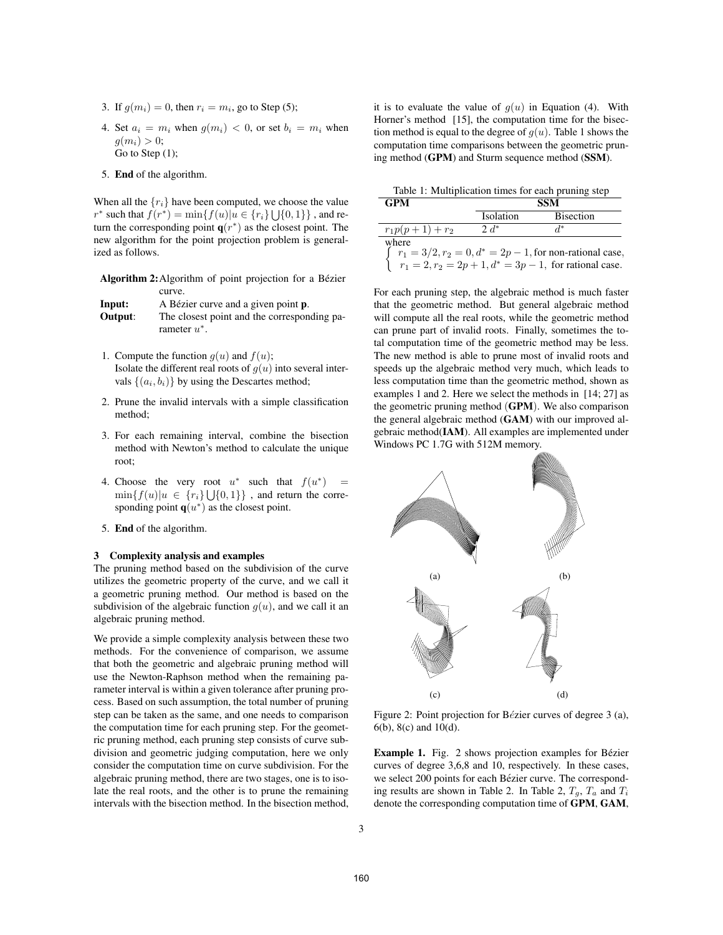- 3. If  $g(m_i)=0$ , then  $r_i = m_i$ , go to Step (5);
- 4. Set  $a_i = m_i$  when  $g(m_i) < 0$ , or set  $b_i = m_i$  when  $g(m_i) > 0$ ; Go to Step (1);
- 5. **End** of the algorithm.

When all the  $\{r_i\}$  have been computed, we choose the value r<sup>∗</sup> such that  $f(r^*) = \min\{f(u)|u \in \{r_i\} \cup \{0,1\}\}\,$ , and return the corresponding point  $q(r^*)$  as the closest point. The new algorithm for the point projection problem is generalized as follows.

Algorithm 2: Algorithm of point projection for a Bézier curve.

| Input:  | A Bézier curve and a given point <b>p</b> . |
|---------|---------------------------------------------|
| Output: | The closest point and the corresponding pa- |
|         | rameter $u^*$ .                             |

- 1. Compute the function  $g(u)$  and  $f(u)$ ; Isolate the different real roots of  $q(u)$  into several intervals  $\{(a_i, b_i)\}\$ by using the Descartes method;
- 2. Prune the invalid intervals with a simple classification method;
- 3. For each remaining interval, combine the bisection method with Newton's method to calculate the unique root;
- 4. Choose the very root  $u^*$  such that  $f(u^*)$  =  $\min\{f(u)|u \in \{r_i\}\cup\{0,1\}\}\,$ , and return the corresponding point  $q(u^*)$  as the closest point.
- 5. **End** of the algorithm.

#### **3 Complexity analysis and examples**

The pruning method based on the subdivision of the curve utilizes the geometric property of the curve, and we call it a geometric pruning method. Our method is based on the subdivision of the algebraic function  $q(u)$ , and we call it an algebraic pruning method.

We provide a simple complexity analysis between these two methods. For the convenience of comparison, we assume that both the geometric and algebraic pruning method will use the Newton-Raphson method when the remaining parameter interval is within a given tolerance after pruning process. Based on such assumption, the total number of pruning step can be taken as the same, and one needs to comparison the computation time for each pruning step. For the geometric pruning method, each pruning step consists of curve subdivision and geometric judging computation, here we only consider the computation time on curve subdivision. For the algebraic pruning method, there are two stages, one is to isolate the real roots, and the other is to prune the remaining intervals with the bisection method. In the bisection method,

it is to evaluate the value of  $g(u)$  in Equation (4). With Horner's method [15], the computation time for the bisection method is equal to the degree of  $g(u)$ . Table 1 shows the computation time comparisons between the geometric pruning method (**GPM**) and Sturm sequence method (**SSM**).

Table 1: Multiplication times for each pruning step

| <b>GPM</b>                                                       | <b>SSM</b> |                  |  |  |  |  |
|------------------------------------------------------------------|------------|------------------|--|--|--|--|
|                                                                  | Isolation  | <b>Bisection</b> |  |  |  |  |
| $r_1p(p+1)+r_2$                                                  | $2d^*$     | $d^*$            |  |  |  |  |
| where                                                            |            |                  |  |  |  |  |
| $\int r_1 = 3/2, r_2 = 0, d^* = 2p - 1$ , for non-rational case, |            |                  |  |  |  |  |
| $r_1 = 2, r_2 = 2p + 1, d^* = 3p - 1$ , for rational case.       |            |                  |  |  |  |  |

For each pruning step, the algebraic method is much faster that the geometric method. But general algebraic method will compute all the real roots, while the geometric method can prune part of invalid roots. Finally, sometimes the total computation time of the geometric method may be less. The new method is able to prune most of invalid roots and speeds up the algebraic method very much, which leads to less computation time than the geometric method, shown as examples 1 and 2. Here we select the methods in [14; 27] as the geometric pruning method (**GPM**). We also comparison the general algebraic method (**GAM**) with our improved algebraic method(**IAM**). All examples are implemented under Windows PC 1.7G with 512M memory.



Figure 2: Point projection for Bézier curves of degree 3 (a), 6(b), 8(c) and 10(d).

**Example 1.** Fig. 2 shows projection examples for Bézier curves of degree 3,6,8 and 10, respectively. In these cases, we select 200 points for each Bézier curve. The corresponding results are shown in Table 2. In Table 2,  $T_q$ ,  $T_a$  and  $T_i$ denote the corresponding computation time of **GPM**, **GAM**,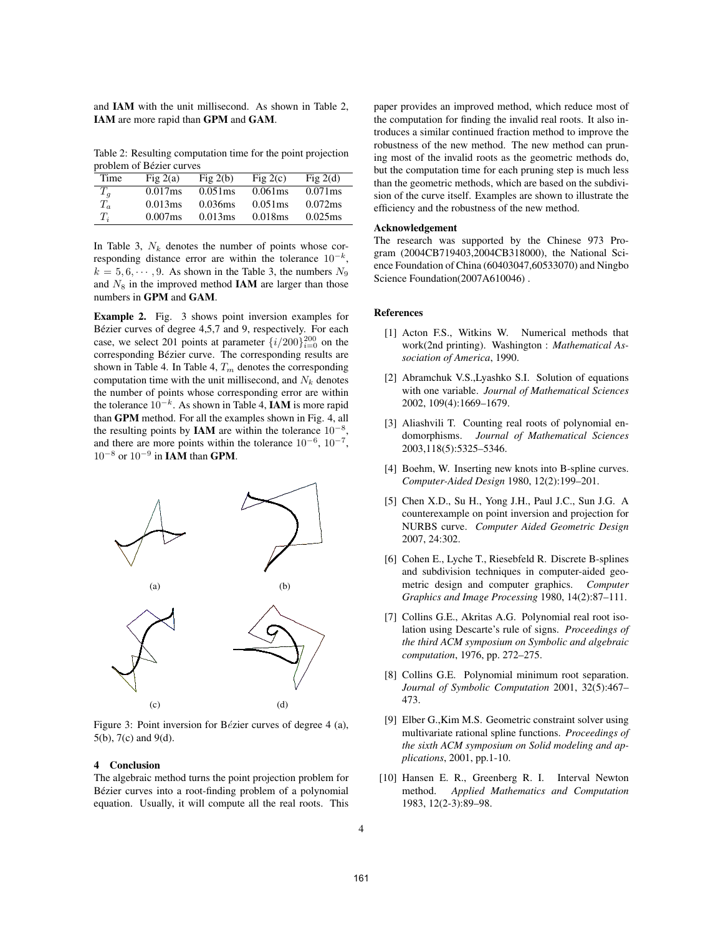and **IAM** with the unit millisecond. As shown in Table 2, **IAM** are more rapid than **GPM** and **GAM**.

Table 2: Resulting computation time for the point projection problem of Bézier curves

|       | problem of Bellet car res |            |            |            |
|-------|---------------------------|------------|------------|------------|
| Time  | Fig $2(a)$                | Fig $2(b)$ | Fig $2(c)$ | Fig $2(d)$ |
| $T_q$ | 0.017ms                   | $0.051$ ms | 0.061ms    | $0.071$ ms |
| $T_a$ | 0.013ms                   | 0.036ms    | $0.051$ ms | 0.072ms    |
| $T_i$ | 0.007ms                   | 0.013ms    | 0.018ms    | 0.025ms    |
|       |                           |            |            |            |

In Table 3,  $N_k$  denotes the number of points whose corresponding distance error are within the tolerance  $10^{-k}$ ,  $k = 5, 6, \dots, 9$ . As shown in the Table 3, the numbers  $N_9$ and  $N_8$  in the improved method **IAM** are larger than those numbers in **GPM** and **GAM**.

**Example 2.** Fig. 3 shows point inversion examples for Bézier curves of degree 4,5,7 and 9, respectively. For each case, we select 201 points at parameter  $\{i/200\}_{i=0}^{200}$  on the corresponding Bézier curve. The corresponding results are corresponding Bézier curve. The corresponding results are shown in Table 4. In Table 4,  $T_m$  denotes the corresponding computation time with the unit millisecond, and  $N_k$  denotes the number of points whose corresponding error are within the tolerance 10−k. As shown in Table 4, **IAM** is more rapid than **GPM** method. For all the examples shown in Fig. 4, all the resulting points by **IAM** are within the tolerance 10−<sup>8</sup>, and there are more points within the tolerance 10−<sup>6</sup>, 10−<sup>7</sup>, 10−<sup>8</sup> or 10−<sup>9</sup> in **IAM** than **GPM**.



Figure 3: Point inversion for Bézier curves of degree 4 (a), 5(b), 7(c) and 9(d).

#### **4 Conclusion**

The algebraic method turns the point projection problem for Bézier curves into a root-finding problem of a polynomial equation. Usually, it will compute all the real roots. This paper provides an improved method, which reduce most of the computation for finding the invalid real roots. It also introduces a similar continued fraction method to improve the robustness of the new method. The new method can pruning most of the invalid roots as the geometric methods do, but the computation time for each pruning step is much less than the geometric methods, which are based on the subdivision of the curve itself. Examples are shown to illustrate the efficiency and the robustness of the new method.

#### **Acknowledgement**

The research was supported by the Chinese 973 Program (2004CB719403,2004CB318000), the National Science Foundation of China (60403047,60533070) and Ningbo Science Foundation(2007A610046).

### **References**

- [1] Acton F.S., Witkins W. Numerical methods that work(2nd printing). Washington : *Mathematical Association of America*, 1990.
- [2] Abramchuk V.S.,Lyashko S.I. Solution of equations with one variable. *Journal of Mathematical Sciences* 2002, 109(4):1669–1679.
- [3] Aliashvili T. Counting real roots of polynomial endomorphisms. *Journal of Mathematical Sciences* 2003,118(5):5325–5346.
- [4] Boehm, W. Inserting new knots into B-spline curves. *Computer-Aided Design* 1980, 12(2):199–201.
- [5] Chen X.D., Su H., Yong J.H., Paul J.C., Sun J.G. A counterexample on point inversion and projection for NURBS curve. *Computer Aided Geometric Design* 2007, 24:302.
- [6] Cohen E., Lyche T., Riesebfeld R. Discrete B-splines and subdivision techniques in computer-aided geometric design and computer graphics. *Computer Graphics and Image Processing* 1980, 14(2):87–111.
- [7] Collins G.E., Akritas A.G. Polynomial real root isolation using Descarte's rule of signs. *Proceedings of the third ACM symposium on Symbolic and algebraic computation*, 1976, pp. 272–275.
- [8] Collins G.E. Polynomial minimum root separation. *Journal of Symbolic Computation* 2001, 32(5):467– 473.
- [9] Elber G.,Kim M.S. Geometric constraint solver using multivariate rational spline functions. *Proceedings of the sixth ACM symposium on Solid modeling and applications*, 2001, pp.1-10.
- [10] Hansen E. R., Greenberg R. I. Interval Newton method. *Applied Mathematics and Computation* 1983, 12(2-3):89–98.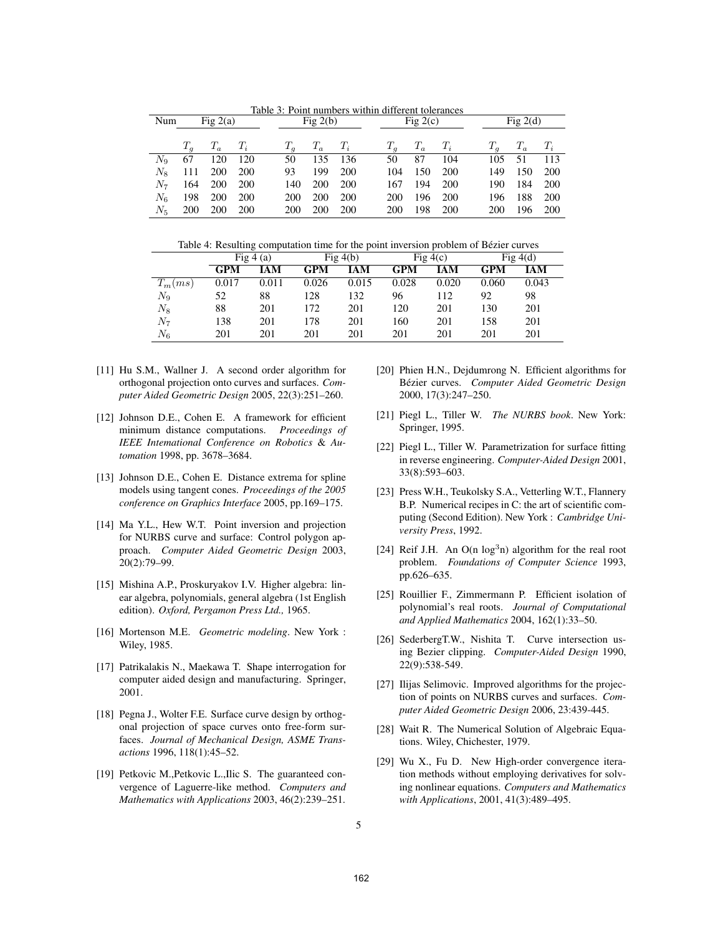Table 3: Point numbers within different tolerances

| Num         | Fig $2(a)$ |                   | Fig $2(b)$ |  |            | Fig $2(c)$        |            |            | Fig $2(d)$        |            |  |            |             |            |
|-------------|------------|-------------------|------------|--|------------|-------------------|------------|------------|-------------------|------------|--|------------|-------------|------------|
|             |            |                   |            |  |            |                   |            |            |                   |            |  |            |             |            |
|             |            | $T_q$ $T_a$ $T_i$ |            |  |            | $T_q$ $T_a$ $T_i$ |            |            | $T_q$ $T_a$ $T_i$ |            |  | $T_a$      | $T_a$ $T_i$ |            |
| $N_{\rm Q}$ | 67         | 120               | - 120      |  | 50         | 135 136           |            | 50         | 87                | 104        |  | 105        | - 51        | -113       |
| $N_{\rm s}$ | 111        | 200 200           |            |  | 93         | 199               | 200        | 104        | 150               | <b>200</b> |  | 149        | 150         | <b>200</b> |
| $N_7$       | 164        | 200               | - 200      |  | 140        | 200               | 200        | 167        | 194               | 200        |  | 190        | 184         | 200        |
| $N_{6}$     | 198        | <b>200</b>        | <b>200</b> |  | <b>200</b> | <b>200</b>        | <b>200</b> | <b>200</b> | 196               | <b>200</b> |  | 196        | 188         | <b>200</b> |
| $N_5$       | 200        | 200 200           |            |  | <b>200</b> | <b>200</b>        | <b>200</b> | <b>200</b> | 198               | <b>200</b> |  | <b>200</b> | 196         | <b>200</b> |

Table 4: Resulting computation time for the point inversion problem of Bézier curves

|           | Fig $4(a)$ |       |       | Fig $4(b)$ |            | Fig $4(c)$ | Fig $4(d)$ |            |  |
|-----------|------------|-------|-------|------------|------------|------------|------------|------------|--|
|           | GPM        | IAM   | GPM   | IAM        | <b>GPM</b> | IAM        | <b>GPM</b> | <b>IAM</b> |  |
| $T_m(ms)$ | 0.017      | 0.011 | 0.026 | 0.015      | 0.028      | 0.020      | 0.060      | 0.043      |  |
| $N_9$     | 52         | 88    | 128   | 132        | 96         | 112        | 92         | 98         |  |
| $N_8$     | 88         | 201   | 172   | 201        | 120        | 201        | 130        | 201        |  |
| $N_7$     | 138        | 201   | 178   | 201        | 160        | 201        | 158        | 201        |  |
| $N_6$     | 201        | 201   | 201   | 201        | 201        | 201        | 201        | 201        |  |

- [11] Hu S.M., Wallner J. A second order algorithm for orthogonal projection onto curves and surfaces. *Computer Aided Geometric Design* 2005, 22(3):251–260.
- [12] Johnson D.E., Cohen E. A framework for efficient minimum distance computations. *Proceedings of IEEE Intemational Conference on Robotics* & *Automation* 1998, pp. 3678–3684.
- [13] Johnson D.E., Cohen E. Distance extrema for spline models using tangent cones. *Proceedings of the 2005 conference on Graphics Interface* 2005, pp.169–175.
- [14] Ma Y.L., Hew W.T. Point inversion and projection for NURBS curve and surface: Control polygon approach. *Computer Aided Geometric Design* 2003, 20(2):79–99.
- [15] Mishina A.P., Proskuryakov I.V. Higher algebra: linear algebra, polynomials, general algebra (1st English edition). *Oxford, Pergamon Press Ltd.,* 1965.
- [16] Mortenson M.E. *Geometric modeling*. New York : Wiley, 1985.
- [17] Patrikalakis N., Maekawa T. Shape interrogation for computer aided design and manufacturing. Springer, 2001.
- [18] Pegna J., Wolter F.E. Surface curve design by orthogonal projection of space curves onto free-form surfaces. *Journal of Mechanical Design, ASME Transactions* 1996, 118(1):45–52.
- [19] Petkovic M., Petkovic L., Ilic S. The guaranteed convergence of Laguerre-like method. *Computers and Mathematics with Applications* 2003, 46(2):239–251.
- [20] Phien H.N., Dejdumrong N. Efficient algorithms for Bézier curves. Computer Aided Geometric Design 2000, 17(3):247–250.
- [21] Piegl L., Tiller W. *The NURBS book*. New York: Springer, 1995.
- [22] Piegl L., Tiller W. Parametrization for surface fitting in reverse engineering. *Computer-Aided Design* 2001, 33(8):593–603.
- [23] Press W.H., Teukolsky S.A., Vetterling W.T., Flannery B.P. Numerical recipes in C: the art of scientific computing (Second Edition). New York : *Cambridge University Press*, 1992.
- [24] Reif J.H. An  $O(n \log^3 n)$  algorithm for the real root problem. *Foundations of Computer Science* 1993, pp.626–635.
- [25] Rouillier F., Zimmermann P. Efficient isolation of polynomial's real roots. *Journal of Computational and Applied Mathematics* 2004, 162(1):33–50.
- [26] SederbergT.W., Nishita T. Curve intersection using Bezier clipping. *Computer-Aided Design* 1990, 22(9):538-549.
- [27] Ilijas Selimovic. Improved algorithms for the projection of points on NURBS curves and surfaces. *Computer Aided Geometric Design* 2006, 23:439-445.
- [28] Wait R. The Numerical Solution of Algebraic Equations. Wiley, Chichester, 1979.
- [29] Wu X., Fu D. New High-order convergence iteration methods without employing derivatives for solving nonlinear equations. *Computers and Mathematics with Applications*, 2001, 41(3):489–495.

162